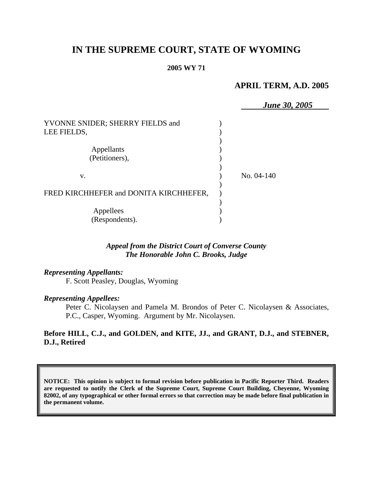# **IN THE SUPREME COURT, STATE OF WYOMING**

#### **2005 WY 71**

### **APRIL TERM, A.D. 2005**

 *June 30, 2005* YVONNE SNIDER; SHERRY FIELDS and ) LEE FIELDS. ) Appellants (a) (Petitioners), (1) ) v. ) No. 04-140 ) FRED KIRCHHEFER and DONITA KIRCHHEFER, ) Appellees (b) (Respondents). )

# *Appeal from the District Court of Converse County The Honorable John C. Brooks, Judge*

#### *Representing Appellants:*

F. Scott Peasley, Douglas, Wyoming

#### *Representing Appellees:*

Peter C. Nicolaysen and Pamela M. Brondos of Peter C. Nicolaysen & Associates, P.C., Casper, Wyoming. Argument by Mr. Nicolaysen.

## **Before HILL, C.J., and GOLDEN, and KITE, JJ., and GRANT, D.J., and STEBNER, D.J., Retired**

**NOTICE: This opinion is subject to formal revision before publication in Pacific Reporter Third. Readers are requested to notify the Clerk of the Supreme Court, Supreme Court Building, Cheyenne, Wyoming 82002, of any typographical or other formal errors so that correction may be made before final publication in the permanent volume.**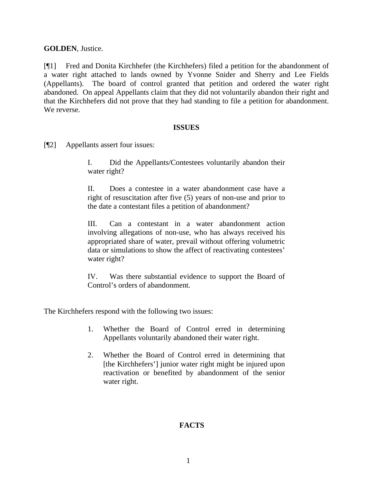# **GOLDEN**, Justice.

[¶1] Fred and Donita Kirchhefer (the Kirchhefers) filed a petition for the abandonment of a water right attached to lands owned by Yvonne Snider and Sherry and Lee Fields (Appellants). The board of control granted that petition and ordered the water right abandoned. On appeal Appellants claim that they did not voluntarily abandon their right and that the Kirchhefers did not prove that they had standing to file a petition for abandonment. We reverse.

## **ISSUES**

[¶2] Appellants assert four issues:

I. Did the Appellants/Contestees voluntarily abandon their water right?

II. Does a contestee in a water abandonment case have a right of resuscitation after five (5) years of non-use and prior to the date a contestant files a petition of abandonment?

III. Can a contestant in a water abandonment action involving allegations of non-use, who has always received his appropriated share of water, prevail without offering volumetric data or simulations to show the affect of reactivating contestees' water right?

IV. Was there substantial evidence to support the Board of Control's orders of abandonment.

The Kirchhefers respond with the following two issues:

- 1. Whether the Board of Control erred in determining Appellants voluntarily abandoned their water right.
- 2. Whether the Board of Control erred in determining that [the Kirchhefers'] junior water right might be injured upon reactivation or benefited by abandonment of the senior water right.

# **FACTS**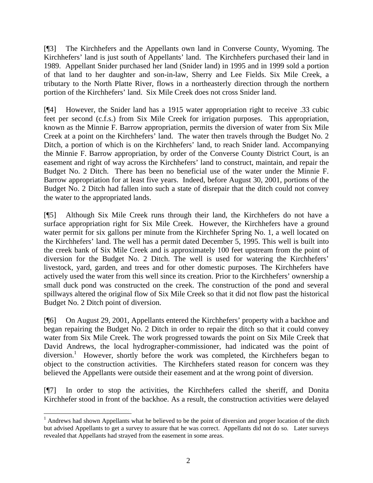[¶3] The Kirchhefers and the Appellants own land in Converse County, Wyoming. The Kirchhefers' land is just south of Appellants' land. The Kirchhefers purchased their land in 1989. Appellant Snider purchased her land (Snider land) in 1995 and in 1999 sold a portion of that land to her daughter and son-in-law, Sherry and Lee Fields. Six Mile Creek, a tributary to the North Platte River, flows in a northeasterly direction through the northern portion of the Kirchhefers' land. Six Mile Creek does not cross Snider land.

[¶4] However, the Snider land has a 1915 water appropriation right to receive .33 cubic feet per second (c.f.s.) from Six Mile Creek for irrigation purposes. This appropriation, known as the Minnie F. Barrow appropriation, permits the diversion of water from Six Mile Creek at a point on the Kirchhefers' land. The water then travels through the Budget No. 2 Ditch, a portion of which is on the Kirchhefers' land, to reach Snider land. Accompanying the Minnie F. Barrow appropriation, by order of the Converse County District Court, is an easement and right of way across the Kirchhefers' land to construct, maintain, and repair the Budget No. 2 Ditch. There has been no beneficial use of the water under the Minnie F. Barrow appropriation for at least five years. Indeed, before August 30, 2001, portions of the Budget No. 2 Ditch had fallen into such a state of disrepair that the ditch could not convey the water to the appropriated lands.

[¶5] Although Six Mile Creek runs through their land, the Kirchhefers do not have a surface appropriation right for Six Mile Creek. However, the Kirchhefers have a ground water permit for six gallons per minute from the Kirchhefer Spring No. 1, a well located on the Kirchhefers' land. The well has a permit dated December 5, 1995. This well is built into the creek bank of Six Mile Creek and is approximately 100 feet upstream from the point of diversion for the Budget No. 2 Ditch. The well is used for watering the Kirchhefers' livestock, yard, garden, and trees and for other domestic purposes. The Kirchhefers have actively used the water from this well since its creation. Prior to the Kirchhefers' ownership a small duck pond was constructed on the creek. The construction of the pond and several spillways altered the original flow of Six Mile Creek so that it did not flow past the historical Budget No. 2 Ditch point of diversion.

[¶6] On August 29, 2001, Appellants entered the Kirchhefers' property with a backhoe and began repairing the Budget No. 2 Ditch in order to repair the ditch so that it could convey water from Six Mile Creek. The work progressed towards the point on Six Mile Creek that David Andrews, the local hydrographer-commissioner, had indicated was the point of diversion.<sup>1</sup> However, shortly before the work was completed, the Kirchhefers began to object to the construction activities. The Kirchhefers stated reason for concern was they believed the Appellants were outside their easement and at the wrong point of diversion.

[¶7] In order to stop the activities, the Kirchhefers called the sheriff, and Donita Kirchhefer stood in front of the backhoe. As a result, the construction activities were delayed

<sup>&</sup>lt;sup>1</sup> Andrews had shown Appellants what he believed to be the point of diversion and proper location of the ditch but advised Appellants to get a survey to assure that he was correct. Appellants did not do so. Later surveys revealed that Appellants had strayed from the easement in some areas.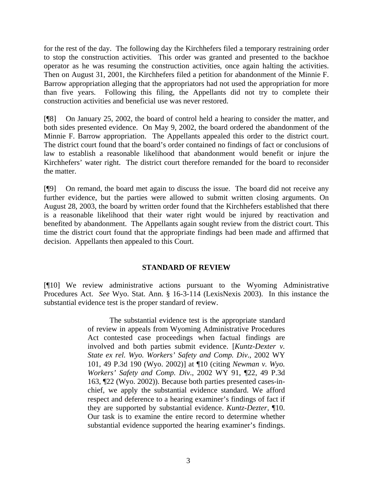for the rest of the day. The following day the Kirchhefers filed a temporary restraining order to stop the construction activities. This order was granted and presented to the backhoe operator as he was resuming the construction activities, once again halting the activities. Then on August 31, 2001, the Kirchhefers filed a petition for abandonment of the Minnie F. Barrow appropriation alleging that the appropriators had not used the appropriation for more than five years. Following this filing, the Appellants did not try to complete their construction activities and beneficial use was never restored.

[¶8] On January 25, 2002, the board of control held a hearing to consider the matter, and both sides presented evidence. On May 9, 2002, the board ordered the abandonment of the Minnie F. Barrow appropriation. The Appellants appealed this order to the district court. The district court found that the board's order contained no findings of fact or conclusions of law to establish a reasonable likelihood that abandonment would benefit or injure the Kirchhefers' water right. The district court therefore remanded for the board to reconsider the matter.

[¶9] On remand, the board met again to discuss the issue. The board did not receive any further evidence, but the parties were allowed to submit written closing arguments. On August 28, 2003, the board by written order found that the Kirchhefers established that there is a reasonable likelihood that their water right would be injured by reactivation and benefited by abandonment. The Appellants again sought review from the district court. This time the district court found that the appropriate findings had been made and affirmed that decision. Appellants then appealed to this Court.

#### **STANDARD OF REVIEW**

[¶10] We review administrative actions pursuant to the Wyoming Administrative Procedures Act. *See* Wyo. Stat. Ann. § 16-3-114 (LexisNexis 2003). In this instance the substantial evidence test is the proper standard of review.

> The substantial evidence test is the appropriate standard of review in appeals from Wyoming Administrative Procedures Act contested case proceedings when factual findings are involved and both parties submit evidence. [*Kuntz-Dexter v. State ex rel. Wyo. Workers' Safety and Comp. Div*., 2002 WY 101, 49 P.3d 190 (Wyo. 2002)] at ¶10 (citing *Newman v. Wyo. Workers' Safety and Comp. Div*., 2002 WY 91, ¶22, 49 P.3d 163, ¶22 (Wyo. 2002)). Because both parties presented cases-inchief, we apply the substantial evidence standard. We afford respect and deference to a hearing examiner's findings of fact if they are supported by substantial evidence. *Kuntz-Dezter*, ¶10. Our task is to examine the entire record to determine whether substantial evidence supported the hearing examiner's findings.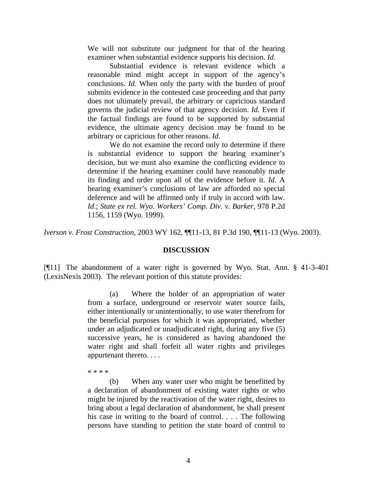We will not substitute our judgment for that of the hearing examiner when substantial evidence supports his decision. *Id*.

Substantial evidence is relevant evidence which a reasonable mind might accept in support of the agency's conclusions. *Id*. When only the party with the burden of proof submits evidence in the contested case proceeding and that party does not ultimately prevail, the arbitrary or capricious standard governs the judicial review of that agency decision. *Id*. Even if the factual findings are found to be supported by substantial evidence, the ultimate agency decision may be found to be arbitrary or capricious for other reasons. *Id*.

We do not examine the record only to determine if there is substantial evidence to support the hearing examiner's decision, but we must also examine the conflicting evidence to determine if the hearing examiner could have reasonably made its finding and order upon all of the evidence before it. *Id*. A hearing examiner's conclusions of law are afforded no special deference and will be affirmed only if truly in accord with law. *Id*.; *State ex rel. Wyo. Workers' Comp. Div. v. Barker*, 978 P.2d 1156, 1159 (Wyo. 1999).

*Iverson v. Frost Construction,* 2003 WY 162, ¶¶11-13, 81 P.3d 190, ¶¶11-13 (Wyo. 2003).

#### **DISCUSSION**

[¶11] The abandonment of a water right is governed by Wyo. Stat. Ann. § 41-3-401 (LexisNexis 2003). The relevant portion of this statute provides:

> (a) Where the holder of an appropriation of water from a surface, underground or reservoir water source fails, either intentionally or unintentionally, to use water therefrom for the beneficial purposes for which it was appropriated, whether under an adjudicated or unadjudicated right, during any five (5) successive years, he is considered as having abandoned the water right and shall forfeit all water rights and privileges appurtenant thereto. . . .

\* \* \* \*

(b) When any water user who might be benefitted by a declaration of abandonment of existing water rights or who might be injured by the reactivation of the water right, desires to bring about a legal declaration of abandonment, he shall present his case in writing to the board of control. . . . The following persons have standing to petition the state board of control to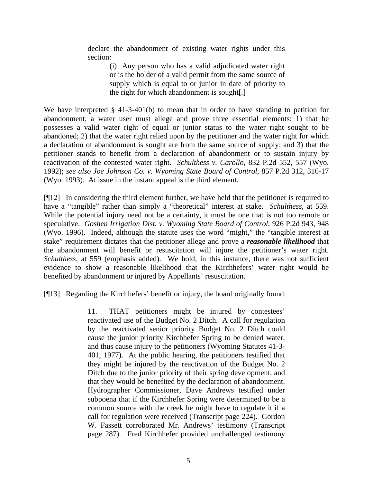declare the abandonment of existing water rights under this section:

> (i) Any person who has a valid adjudicated water right or is the holder of a valid permit from the same source of supply which is equal to or junior in date of priority to the right for which abandonment is sought[.]

We have interpreted § 41-3-401(b) to mean that in order to have standing to petition for abandonment, a water user must allege and prove three essential elements: 1) that he possesses a valid water right of equal or junior status to the water right sought to be abandoned; 2) that the water right relied upon by the petitioner and the water right for which a declaration of abandonment is sought are from the same source of supply; and 3) that the petitioner stands to benefit from a declaration of abandonment or to sustain injury by reactivation of the contested water right. *Schulthess v. Carollo*, 832 P.2d 552, 557 (Wyo. 1992); *see also Joe Johnson Co. v. Wyoming State Board of Control*, 857 P.2d 312, 316-17 (Wyo. 1993). At issue in the instant appeal is the third element.

[¶12] In considering the third element further, we have held that the petitioner is required to have a "tangible" rather than simply a "theoretical" interest at stake. *Schulthess,* at 559. While the potential injury need not be a certainty, it must be one that is not too remote or speculative. *Goshen Irrigation Dist. v. Wyoming State Board of Control*, 926 P.2d 943, 948 (Wyo. 1996). Indeed, although the statute uses the word "might," the "tangible interest at stake" requirement dictates that the petitioner allege and prove a *reasonable likelihood* that the abandonment will benefit or resuscitation will injure the petitioner's water right. *Schulthess,* at 559 (emphasis added). We hold, in this instance, there was not sufficient evidence to show a reasonable likelihood that the Kirchhefers' water right would be benefited by abandonment or injured by Appellants' resuscitation.

[¶13] Regarding the Kirchhefers' benefit or injury, the board originally found:

11. THAT petitioners might be injured by contestees' reactivated use of the Budget No. 2 Ditch. A call for regulation by the reactivated senior priority Budget No. 2 Ditch could cause the junior priority Kirchhefer Spring to be denied water, and thus cause injury to the petitioners (Wyoming Statutes 41-3- 401, 1977). At the public hearing, the petitioners testified that they might be injured by the reactivation of the Budget No. 2 Ditch due to the junior priority of their spring development, and that they would be benefited by the declaration of abandonment. Hydrographer Commissioner, Dave Andrews testified under subpoena that if the Kirchhefer Spring were determined to be a common source with the creek he might have to regulate it if a call for regulation were received (Transcript page 224). Gordon W. Fassett corroborated Mr. Andrews' testimony (Transcript page 287). Fred Kirchhefer provided unchallenged testimony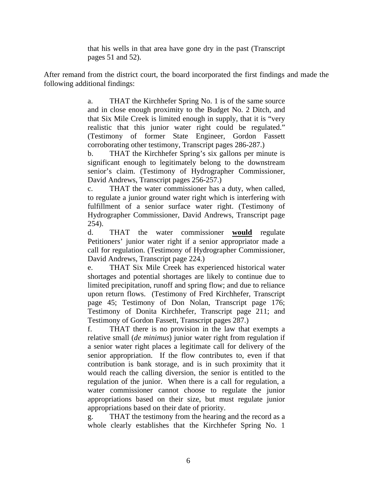that his wells in that area have gone dry in the past (Transcript pages 51 and 52).

After remand from the district court, the board incorporated the first findings and made the following additional findings:

> a. THAT the Kirchhefer Spring No. 1 is of the same source and in close enough proximity to the Budget No. 2 Ditch, and that Six Mile Creek is limited enough in supply, that it is "very realistic that this junior water right could be regulated." (Testimony of former State Engineer, Gordon Fassett corroborating other testimony, Transcript pages 286-287.)

> b. THAT the Kirchhefer Spring's six gallons per minute is significant enough to legitimately belong to the downstream senior's claim. (Testimony of Hydrographer Commissioner, David Andrews, Transcript pages 256-257.)

> c. THAT the water commissioner has a duty, when called, to regulate a junior ground water right which is interfering with fulfillment of a senior surface water right. (Testimony of Hydrographer Commissioner, David Andrews, Transcript page 254).

> d. THAT the water commissioner **would** regulate Petitioners' junior water right if a senior appropriator made a call for regulation. (Testimony of Hydrographer Commissioner, David Andrews, Transcript page 224.)

> e. THAT Six Mile Creek has experienced historical water shortages and potential shortages are likely to continue due to limited precipitation, runoff and spring flow; and due to reliance upon return flows. (Testimony of Fred Kirchhefer, Transcript page 45; Testimony of Don Nolan, Transcript page 176; Testimony of Donita Kirchhefer, Transcript page 211; and Testimony of Gordon Fassett, Transcript pages 287.)

> f. THAT there is no provision in the law that exempts a relative small (*de minimus*) junior water right from regulation if a senior water right places a legitimate call for delivery of the senior appropriation. If the flow contributes to, even if that contribution is bank storage, and is in such proximity that it would reach the calling diversion, the senior is entitled to the regulation of the junior. When there is a call for regulation, a water commissioner cannot choose to regulate the junior appropriations based on their size, but must regulate junior appropriations based on their date of priority.

g. THAT the testimony from the hearing and the record as a whole clearly establishes that the Kirchhefer Spring No. 1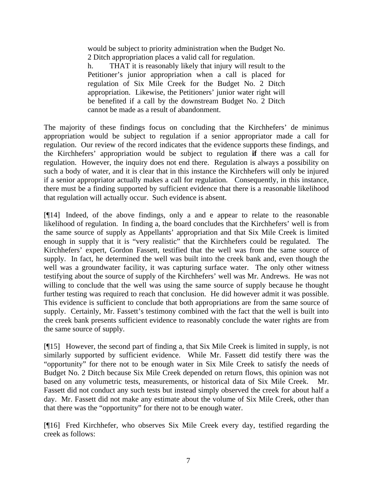would be subject to priority administration when the Budget No. 2 Ditch appropriation places a valid call for regulation.

h. THAT it is reasonably likely that injury will result to the Petitioner's junior appropriation when a call is placed for regulation of Six Mile Creek for the Budget No. 2 Ditch appropriation. Likewise, the Petitioners' junior water right will be benefited if a call by the downstream Budget No. 2 Ditch cannot be made as a result of abandonment.

The majority of these findings focus on concluding that the Kirchhefers' de minimus appropriation would be subject to regulation if a senior appropriator made a call for regulation. Our review of the record indicates that the evidence supports these findings, and the Kirchhefers' appropriation would be subject to regulation **if** there was a call for regulation. However, the inquiry does not end there. Regulation is always a possibility on such a body of water, and it is clear that in this instance the Kirchhefers will only be injured if a senior appropriator actually makes a call for regulation. Consequently, in this instance, there must be a finding supported by sufficient evidence that there is a reasonable likelihood that regulation will actually occur. Such evidence is absent.

[¶14] Indeed, of the above findings, only a and e appear to relate to the reasonable likelihood of regulation. In finding a, the board concludes that the Kirchhefers' well is from the same source of supply as Appellants' appropriation and that Six Mile Creek is limited enough in supply that it is "very realistic" that the Kirchhefers could be regulated. The Kirchhefers' expert, Gordon Fassett, testified that the well was from the same source of supply. In fact, he determined the well was built into the creek bank and, even though the well was a groundwater facility, it was capturing surface water. The only other witness testifying about the source of supply of the Kirchhefers' well was Mr. Andrews. He was not willing to conclude that the well was using the same source of supply because he thought further testing was required to reach that conclusion. He did however admit it was possible. This evidence is sufficient to conclude that both appropriations are from the same source of supply. Certainly, Mr. Fassett's testimony combined with the fact that the well is built into the creek bank presents sufficient evidence to reasonably conclude the water rights are from the same source of supply.

[¶15] However, the second part of finding a, that Six Mile Creek is limited in supply, is not similarly supported by sufficient evidence. While Mr. Fassett did testify there was the "opportunity" for there not to be enough water in Six Mile Creek to satisfy the needs of Budget No. 2 Ditch because Six Mile Creek depended on return flows, this opinion was not based on any volumetric tests, measurements, or historical data of Six Mile Creek. Fassett did not conduct any such tests but instead simply observed the creek for about half a day. Mr. Fassett did not make any estimate about the volume of Six Mile Creek, other than that there was the "opportunity" for there not to be enough water.

[¶16] Fred Kirchhefer, who observes Six Mile Creek every day, testified regarding the creek as follows: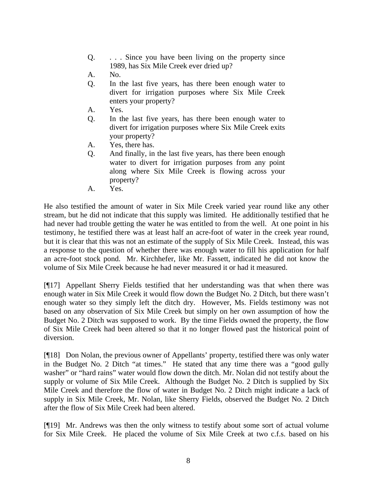- Q. . . . Since you have been living on the property since 1989, has Six Mile Creek ever dried up?
- A. No.
- Q. In the last five years, has there been enough water to divert for irrigation purposes where Six Mile Creek enters your property?
- A. Yes.
- Q. In the last five years, has there been enough water to divert for irrigation purposes where Six Mile Creek exits your property?
- A. Yes, there has.
- Q. And finally, in the last five years, has there been enough water to divert for irrigation purposes from any point along where Six Mile Creek is flowing across your property?
- A. Yes.

He also testified the amount of water in Six Mile Creek varied year round like any other stream, but he did not indicate that this supply was limited. He additionally testified that he had never had trouble getting the water he was entitled to from the well. At one point in his testimony, he testified there was at least half an acre-foot of water in the creek year round, but it is clear that this was not an estimate of the supply of Six Mile Creek. Instead, this was a response to the question of whether there was enough water to fill his application for half an acre-foot stock pond. Mr. Kirchhefer, like Mr. Fassett, indicated he did not know the volume of Six Mile Creek because he had never measured it or had it measured.

[¶17] Appellant Sherry Fields testified that her understanding was that when there was enough water in Six Mile Creek it would flow down the Budget No. 2 Ditch, but there wasn't enough water so they simply left the ditch dry. However, Ms. Fields testimony was not based on any observation of Six Mile Creek but simply on her own assumption of how the Budget No. 2 Ditch was supposed to work. By the time Fields owned the property, the flow of Six Mile Creek had been altered so that it no longer flowed past the historical point of diversion.

[¶18] Don Nolan, the previous owner of Appellants' property, testified there was only water in the Budget No. 2 Ditch "at times." He stated that any time there was a "good gully washer" or "hard rains" water would flow down the ditch. Mr. Nolan did not testify about the supply or volume of Six Mile Creek. Although the Budget No. 2 Ditch is supplied by Six Mile Creek and therefore the flow of water in Budget No. 2 Ditch might indicate a lack of supply in Six Mile Creek, Mr. Nolan, like Sherry Fields, observed the Budget No. 2 Ditch after the flow of Six Mile Creek had been altered.

[¶19] Mr. Andrews was then the only witness to testify about some sort of actual volume for Six Mile Creek. He placed the volume of Six Mile Creek at two c.f.s. based on his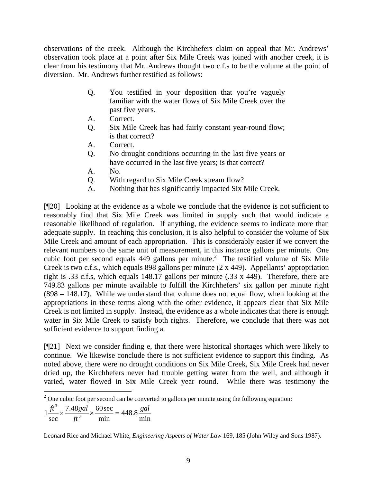observations of the creek. Although the Kirchhefers claim on appeal that Mr. Andrews' observation took place at a point after Six Mile Creek was joined with another creek, it is clear from his testimony that Mr. Andrews thought two c.f.s to be the volume at the point of diversion. Mr. Andrews further testified as follows:

- Q. You testified in your deposition that you're vaguely familiar with the water flows of Six Mile Creek over the past five years.
- A. Correct.
- Q. Six Mile Creek has had fairly constant year-round flow; is that correct?
- A. Correct.
- Q. No drought conditions occurring in the last five years or have occurred in the last five years; is that correct?
- A. No.
- Q. With regard to Six Mile Creek stream flow?
- A. Nothing that has significantly impacted Six Mile Creek.

[¶20] Looking at the evidence as a whole we conclude that the evidence is not sufficient to reasonably find that Six Mile Creek was limited in supply such that would indicate a reasonable likelihood of regulation. If anything, the evidence seems to indicate more than adequate supply. In reaching this conclusion, it is also helpful to consider the volume of Six Mile Creek and amount of each appropriation. This is considerably easier if we convert the relevant numbers to the same unit of measurement, in this instance gallons per minute. One cubic foot per second equals  $449$  gallons per minute.<sup>2</sup> The testified volume of Six Mile Creek is two c.f.s., which equals 898 gallons per minute (2 x 449). Appellants' appropriation right is .33 c.f.s, which equals 148.17 gallons per minute (.33 x 449). Therefore, there are 749.83 gallons per minute available to fulfill the Kirchhefers' six gallon per minute right (898 – 148.17). While we understand that volume does not equal flow, when looking at the appropriations in these terms along with the other evidence, it appears clear that Six Mile Creek is not limited in supply. Instead, the evidence as a whole indicates that there is enough water in Six Mile Creek to satisfy both rights. Therefore, we conclude that there was not sufficient evidence to support finding a.

[¶21] Next we consider finding e, that there were historical shortages which were likely to continue. We likewise conclude there is not sufficient evidence to support this finding. As noted above, there were no drought conditions on Six Mile Creek, Six Mile Creek had never dried up, the Kirchhefers never had trouble getting water from the well, and although it varied, water flowed in Six Mile Creek year round. While there was testimony the

min min  $1\frac{J\prime}{\sec} \times \frac{7.46g}{ft^3}$ *ft*

Leonard Rice and Michael White, *Engineering Aspects of Water Law* 169, 185 (John Wiley and Sons 1987).

  $2^{\circ}$  One cubic foot per second can be converted to gallons per minute using the following equation:

<sup>448.8</sup> 7.48 gal 60 sec <sup>3</sup> 7.48 gal 60 sec  $_{4.48}$  gal  $\frac{ft^3}{dx} \times \frac{7.48 \text{ gal}}{x} \times \frac{60 \text{ sec}}{dx} = 448.8 \frac{\text{gal}}{dx}$